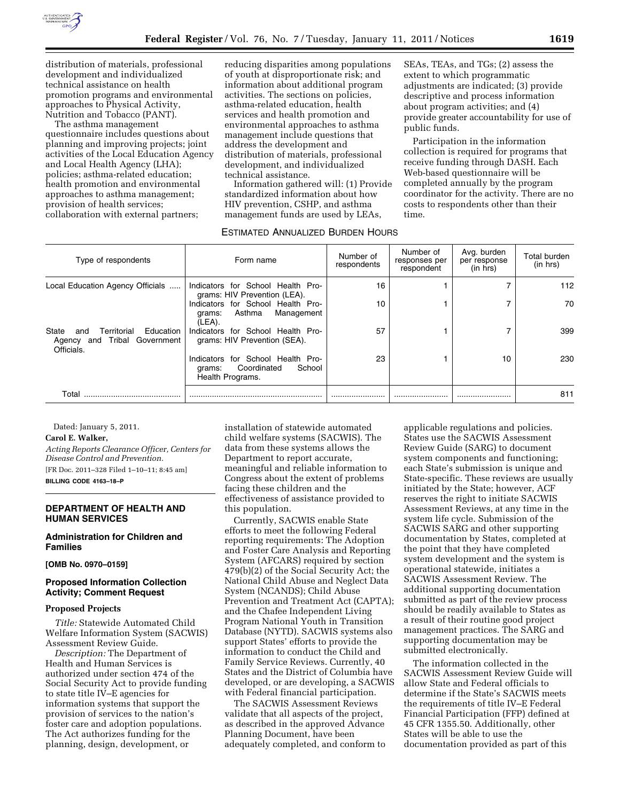

distribution of materials, professional development and individualized technical assistance on health promotion programs and environmental approaches to Physical Activity, Nutrition and Tobacco (PANT).

The asthma management questionnaire includes questions about planning and improving projects; joint activities of the Local Education Agency and Local Health Agency (LHA); policies; asthma-related education; health promotion and environmental approaches to asthma management; provision of health services; collaboration with external partners;

reducing disparities among populations of youth at disproportionate risk; and information about additional program activities. The sections on policies, asthma-related education, health services and health promotion and environmental approaches to asthma management include questions that address the development and distribution of materials, professional development, and individualized technical assistance.

Information gathered will: (1) Provide standardized information about how HIV prevention, CSHP, and asthma management funds are used by LEAs,

#### ESTIMATED ANNUALIZED BURDEN HOURS

SEAs, TEAs, and TGs; (2) assess the extent to which programmatic adjustments are indicated; (3) provide descriptive and process information about program activities; and (4) provide greater accountability for use of public funds.

Participation in the information collection is required for programs that receive funding through DASH. Each Web-based questionnaire will be completed annually by the program coordinator for the activity. There are no costs to respondents other than their time.

| Type of respondents                                                                       | Form name                                                                                | Number of<br>respondents | Number of<br>responses per<br>respondent | Avg. burden<br>per response<br>(in hrs) | Total burden<br>(in hrs) |
|-------------------------------------------------------------------------------------------|------------------------------------------------------------------------------------------|--------------------------|------------------------------------------|-----------------------------------------|--------------------------|
| Local Education Agency Officials                                                          | Indicators for School Health Pro-<br>grams: HIV Prevention (LEA).                        | 16                       |                                          |                                         | 112                      |
|                                                                                           | Indicators for School Health Pro-<br>Asthma<br>Management<br>grams:<br>(LEA).            | 10                       |                                          |                                         | 70                       |
| Education<br>State<br>Territorial<br>and<br>and Tribal Government<br>Agency<br>Officials. | Indicators for School Health Pro-<br>grams: HIV Prevention (SEA).                        | 57                       |                                          |                                         | 399                      |
|                                                                                           | Indicators for School Health Pro-<br>School<br>Coordinated<br>grams:<br>Health Programs. | 23                       |                                          | 10                                      | 230                      |
| Total                                                                                     |                                                                                          |                          |                                          |                                         | 811                      |

Dated: January 5, 2011.

#### **Carol E. Walker,**

*Acting Reports Clearance Officer, Centers for Disease Control and Prevention.*  [FR Doc. 2011–328 Filed 1–10–11; 8:45 am] **BILLING CODE 4163–18–P** 

#### **DEPARTMENT OF HEALTH AND HUMAN SERVICES**

**Administration for Children and Families** 

**[OMB No. 0970–0159]** 

## **Proposed Information Collection Activity; Comment Request**

#### **Proposed Projects**

*Title:* Statewide Automated Child Welfare Information System (SACWIS) Assessment Review Guide.

*Description:* The Department of Health and Human Services is authorized under section 474 of the Social Security Act to provide funding to state title IV–E agencies for information systems that support the provision of services to the nation's foster care and adoption populations. The Act authorizes funding for the planning, design, development, or

installation of statewide automated child welfare systems (SACWIS). The data from these systems allows the Department to report accurate, meaningful and reliable information to Congress about the extent of problems facing these children and the effectiveness of assistance provided to this population.

Currently, SACWIS enable State efforts to meet the following Federal reporting requirements: The Adoption and Foster Care Analysis and Reporting System (AFCARS) required by section 479(b)(2) of the Social Security Act; the National Child Abuse and Neglect Data System (NCANDS); Child Abuse Prevention and Treatment Act (CAPTA); and the Chafee Independent Living Program National Youth in Transition Database (NYTD). SACWIS systems also support States' efforts to provide the information to conduct the Child and Family Service Reviews. Currently, 40 States and the District of Columbia have developed, or are developing, a SACWIS with Federal financial participation.

The SACWIS Assessment Reviews validate that all aspects of the project, as described in the approved Advance Planning Document, have been adequately completed, and conform to applicable regulations and policies. States use the SACWIS Assessment Review Guide (SARG) to document system components and functioning; each State's submission is unique and State-specific. These reviews are usually initiated by the State; however, ACF reserves the right to initiate SACWIS Assessment Reviews, at any time in the system life cycle. Submission of the SACWIS SARG and other supporting documentation by States, completed at the point that they have completed system development and the system is operational statewide, initiates a SACWIS Assessment Review. The additional supporting documentation submitted as part of the review process should be readily available to States as a result of their routine good project management practices. The SARG and supporting documentation may be submitted electronically.

The information collected in the SACWIS Assessment Review Guide will allow State and Federal officials to determine if the State's SACWIS meets the requirements of title IV–E Federal Financial Participation (FFP) defined at 45 CFR 1355.50. Additionally, other States will be able to use the documentation provided as part of this